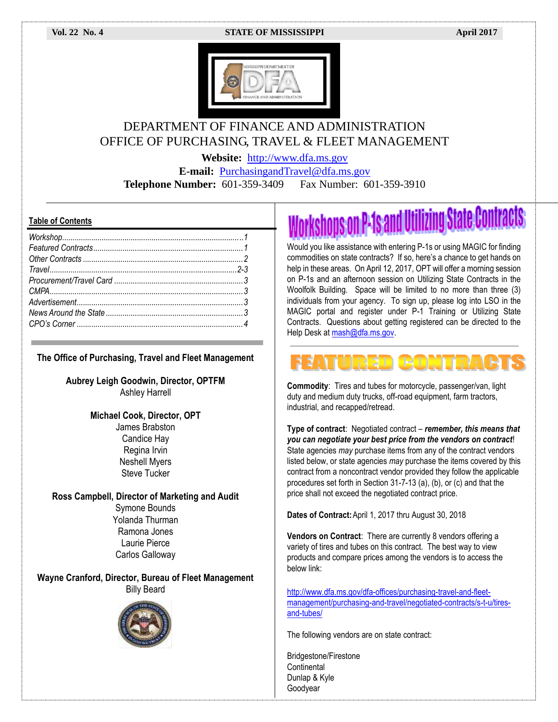#### **Vol. 22 No. 4 STATE OF MISSISSIPPI April 2017**



# DEPARTMENT OF FINANCE AND ADMINISTRATION OFFICE OF PURCHASING, TRAVEL & FLEET MANAGEMENT

**Website:** [http://www.dfa.ms.gov](http://www.dfa.ms.gov/)

**E-mail:** [PurchasingandTravel@dfa.ms.gov](mailto:PurchasingandTravel@dfa.ms.gov) **Telephone Number:** 601-359-3409 Fax Number: 601-359-3910

#### **Table of Contents**

**The Office of Purchasing, Travel and Fleet Management**

**Aubrey Leigh Goodwin, Director, OPTFM** Ashley Harrell

> **Michael Cook, Director, OPT** James Brabston Candice Hay Regina Irvin Neshell Myers Steve Tucker

**Ross Campbell, Director of Marketing and Audit** Symone Bounds Yolanda Thurman Ramona Jones Laurie Pierce Carlos Galloway

**Wayne Cranford, Director, Bureau of Fleet Management** Billy Beard



rkshops on P-1s and Utilizing State Contracts

Would you like assistance with entering P-1s or using MAGIC for finding commodities on state contracts? If so, here's a chance to get hands on help in these areas. On April 12, 2017, OPT will offer a morning session on P-1s and an afternoon session on Utilizing State Contracts in the Woolfolk Building. Space will be limited to no more than three (3) individuals from your agency. To sign up, please log into LSO in the MAGIC portal and register under P-1 Training or Utilizing State Contracts. Questions about getting registered can be directed to the Help Desk at [mash@dfa.ms.gov.](mailto:mash@dfa.ms.gov)

# IRED

**Commodity**: Tires and tubes for motorcycle, passenger/van, light duty and medium duty trucks, off-road equipment, farm tractors, industrial, and recapped/retread.

**Type of contract**: Negotiated contract – *remember, this means that you can negotiate your best price from the vendors on contract*! State agencies *may* purchase items from any of the contract vendors listed below, or state agencies *may* purchase the items covered by this contract from a noncontract vendor provided they follow the applicable procedures set forth in Section 31-7-13 (a), (b), or (c) and that the price shall not exceed the negotiated contract price.

**Dates of Contract:**April 1, 2017 thru August 30, 2018

**Vendors on Contract**: There are currently 8 vendors offering a variety of tires and tubes on this contract. The best way to view products and compare prices among the vendors is to access the below link:

[http://www.dfa.ms.gov/dfa-offices/purchasing-travel-and-fleet](http://www.dfa.ms.gov/dfa-offices/purchasing-travel-and-fleet-management/purchasing-and-travel/negotiated-contracts/s-t-u/tires-and-tubes/)[management/purchasing-and-travel/negotiated-contracts/s-t-u/tires](http://www.dfa.ms.gov/dfa-offices/purchasing-travel-and-fleet-management/purchasing-and-travel/negotiated-contracts/s-t-u/tires-and-tubes/)[and-tubes/](http://www.dfa.ms.gov/dfa-offices/purchasing-travel-and-fleet-management/purchasing-and-travel/negotiated-contracts/s-t-u/tires-and-tubes/)

The following vendors are on state contract:

Bridgestone/Firestone **Continental** Dunlap & Kyle Goodyear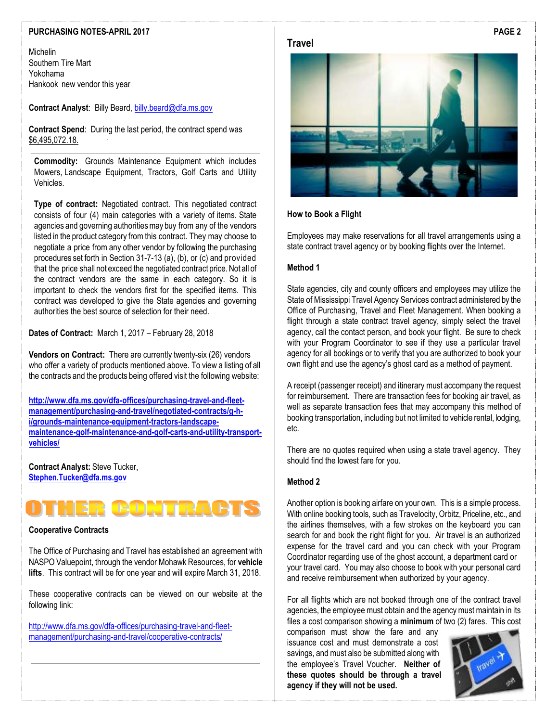#### **PURCHASING NOTES-APRIL 2017**

Michelin Southern Tire Mart Yokohama Hankook new vendor this year

**Contract Analyst**: Billy Beard[, billy.beard@dfa.ms.gov](mailto:billy.beard@dfa.ms.gov)

**Contract Spend**: During the last period, the contract spend was \$6,495,072.18.

**Commodity:** Grounds Maintenance Equipment which includes Mowers, Landscape Equipment, Tractors, Golf Carts and Utility Vehicles.

**Type of contract:** Negotiated contract. This negotiated contract consists of four (4) main categories with a variety of items. State agencies and governing authorities may buy from any of the vendors listed in the product category from this contract. They may choose to negotiate a price from any other vendor by following the purchasing procedures set forth in Section 31-7-13 (a), (b), or (c) and provided that the price shall not exceed the negotiated contract price. Not all of the contract vendors are the same in each category. So it is important to check the vendors first for the specified items. This contract was developed to give the State agencies and governing authorities the best source of selection for their need.

**Dates of Contract:** March 1, 2017 – February 28, 2018

**Vendors on Contract:** There are currently twenty-six (26) vendors who offer a variety of products mentioned above. To view a listing of all the contracts and the products being offered visit the following website:

**[http://www.dfa.ms.gov/dfa-offices/purchasing-travel-and-fleet](http://www.dfa.ms.gov/dfa-offices/purchasing-travel-and-fleet-management/purchasing-and-travel/negotiated-contracts/g-h-i/grounds-maintenance-equipment-tractors-landscape-maintenance-golf-maintenance-and-golf-carts-and-utility-transport-vehicles/)[management/purchasing-and-travel/negotiated-contracts/g-h](http://www.dfa.ms.gov/dfa-offices/purchasing-travel-and-fleet-management/purchasing-and-travel/negotiated-contracts/g-h-i/grounds-maintenance-equipment-tractors-landscape-maintenance-golf-maintenance-and-golf-carts-and-utility-transport-vehicles/)[i/grounds-maintenance-equipment-tractors-landscape](http://www.dfa.ms.gov/dfa-offices/purchasing-travel-and-fleet-management/purchasing-and-travel/negotiated-contracts/g-h-i/grounds-maintenance-equipment-tractors-landscape-maintenance-golf-maintenance-and-golf-carts-and-utility-transport-vehicles/)[maintenance-golf-maintenance-and-golf-carts-and-utility-transport](http://www.dfa.ms.gov/dfa-offices/purchasing-travel-and-fleet-management/purchasing-and-travel/negotiated-contracts/g-h-i/grounds-maintenance-equipment-tractors-landscape-maintenance-golf-maintenance-and-golf-carts-and-utility-transport-vehicles/)[vehicles/](http://www.dfa.ms.gov/dfa-offices/purchasing-travel-and-fleet-management/purchasing-and-travel/negotiated-contracts/g-h-i/grounds-maintenance-equipment-tractors-landscape-maintenance-golf-maintenance-and-golf-carts-and-utility-transport-vehicles/)**

**Contract Analyst:** Steve Tucker, **[Stephen.Tucker@dfa.ms.gov](mailto:Stephen.Tucker@dfa.ms.gov)**



#### **Cooperative Contracts**

The Office of Purchasing and Travel has established an agreement with NASPO Valuepoint, through the vendor Mohawk Resources, for **vehicle lifts**. This contract will be for one year and will expire March 31, 2018.

These cooperative contracts can be viewed on our website at the following link:

[http://www.dfa.ms.gov/dfa-offices/purchasing-travel-and-fleet](http://www.dfa.ms.gov/dfa-offices/purchasing-travel-and-fleet-management/purchasing-and-travel/cooperative-contracts/)[management/purchasing-and-travel/cooperative-contracts/](http://www.dfa.ms.gov/dfa-offices/purchasing-travel-and-fleet-management/purchasing-and-travel/cooperative-contracts/)



#### **How to Book a Flight**

Employees may make reservations for all travel arrangements using a state contract travel agency or by booking flights over the Internet.

#### **Method 1**

State agencies, city and county officers and employees may utilize the State of Mississippi Travel Agency Services contract administered by the Office of Purchasing, Travel and Fleet Management. When booking a flight through a state contract travel agency, simply select the travel agency, call the contact person, and book your flight. Be sure to check with your Program Coordinator to see if they use a particular travel agency for all bookings or to verify that you are authorized to book your own flight and use the agency's ghost card as a method of payment.

A receipt (passenger receipt) and itinerary must accompany the request for reimbursement. There are transaction fees for booking air travel, as well as separate transaction fees that may accompany this method of booking transportation, including but not limited to vehicle rental, lodging, etc.

There are no quotes required when using a state travel agency. They should find the lowest fare for you.

#### **Method 2**

Another option is booking airfare on your own. This is a simple process. With online booking tools, such as Travelocity, Orbitz, Priceline, etc., and the airlines themselves, with a few strokes on the keyboard you can search for and book the right flight for you. Air travel is an authorized expense for the travel card and you can check with your Program Coordinator regarding use of the ghost account, a department card or your travel card. You may also choose to book with your personal card and receive reimbursement when authorized by your agency.

For all flights which are not booked through one of the contract travel agencies, the employee must obtain and the agency must maintain in its files a cost comparison showing a **minimum** of two (2) fares. This cost

comparison must show the fare and any issuance cost and must demonstrate a cost savings, and must also be submitted along with the employee's Travel Voucher. **Neither of these quotes should be through a travel agency if they will not be used.**

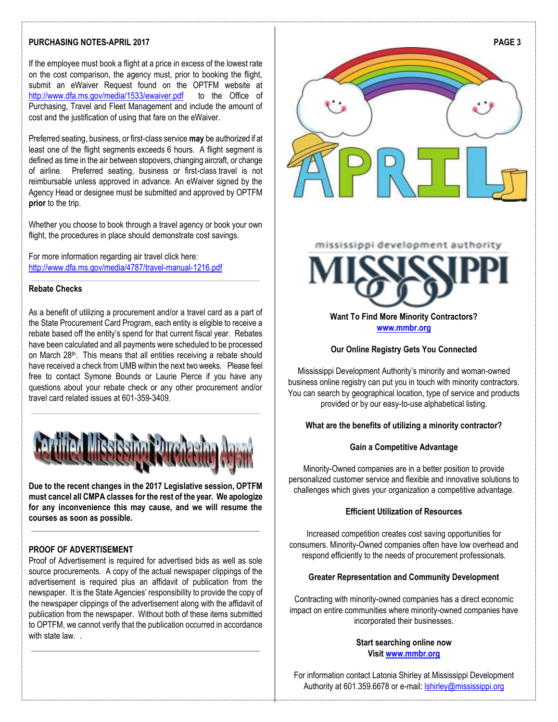## **PURCHASING NOTES-APRIL 2017**

If the employee must book a flight at a price in excess of the lowest rate on the cost comparison, the agency must, prior to booking the flight, submit an eWaiver Request found on the OPTFM website at <http://www.dfa.ms.gov/media/1533/ewaiver.pdf> to the Office of Purchasing, Travel and Fleet Management and include the amount of cost and the justification of using that fare on the eWaiver.

Preferred seating, business, or first-class service **may** be authorized if at least one of the flight segments exceeds 6 hours. A flight segment is defined as time in the air between stopovers, changing aircraft, or change of airline. Preferred seating, business or first-class travel is not reimbursable unless approved in advance. An eWaiver signed by the Agency Head or designee must be submitted and approved by OPTFM **prior** to the trip.

Whether you choose to book through a travel agency or book your own flight, the procedures in place should demonstrate cost savings.

For more information regarding air travel click here: <http://www.dfa.ms.gov/media/4787/travel-manual-1216.pdf>

#### **Rebate Checks**

As a benefit of utilizing a procurement and/or a travel card as a part of the State Procurement Card Program, each entity is eligible to receive a rebate based off the entity's spend for that current fiscal year. Rebates have been calculated and all payments were scheduled to be processed on March 28<sup>th</sup>. This means that all entities receiving a rebate should have received a check from UMB within the next two weeks. Please feel free to contact Symone Bounds or Laurie Pierce if you have any questions about your rebate check or any other procurement and/or travel card related issues at 601-359-3409.



**Due to the recent changes in the 2017 Legislative session, OPTFM must cancel all CMPA classes for the rest of the year. We apologize for any inconvenience this may cause, and we will resume the courses as soon as possible.** 

## **PROOF OF ADVERTISEMENT**

Proof of Advertisement is required for advertised bids as well as sole source procurements. A copy of the actual newspaper clippings of the advertisement is required plus an affidavit of publication from the newspaper. It is the State Agencies' responsibility to provide the copy of the newspaper clippings of the advertisement along with the affidavit of publication from the newspaper. Without both of these items submitted to OPTFM, we cannot verify that the publication occurred in accordance with state law...



# mississippi development authority



**Want To Find More Minority Contractors? [www.mmbr.org](http://www.mmbr.org/)**

#### **Our Online Registry Gets You Connected**

Mississippi Development Authority's minority and woman-owned business online registry can put you in touch with minority contractors. You can search by geographical location, type of service and products provided or by our easy-to-use alphabetical listing.

#### **What are the benefits of utilizing a minority contractor?**

#### **Gain a Competitive Advantage**

Minority-Owned companies are in a better position to provide personalized customer service and flexible and innovative solutions to challenges which gives your organization a competitive advantage.

## **Efficient Utilization of Resources**

Increased competition creates cost saving opportunities for consumers. Minority-Owned companies often have low overhead and respond efficiently to the needs of procurement professionals.

#### **Greater Representation and Community Development**

Contracting with minority-owned companies has a direct economic impact on entire communities where minority-owned companies have incorporated their businesses.

## **Start searching online now Visi[t www.mmbr.org](http://www.mmbr.org/)**

For information contact Latonia Shirley at Mississippi Development Authority at 601.359.6678 or e-mail: [lshirley@mississippi.org](mailto:lshirley@mississippi.org)